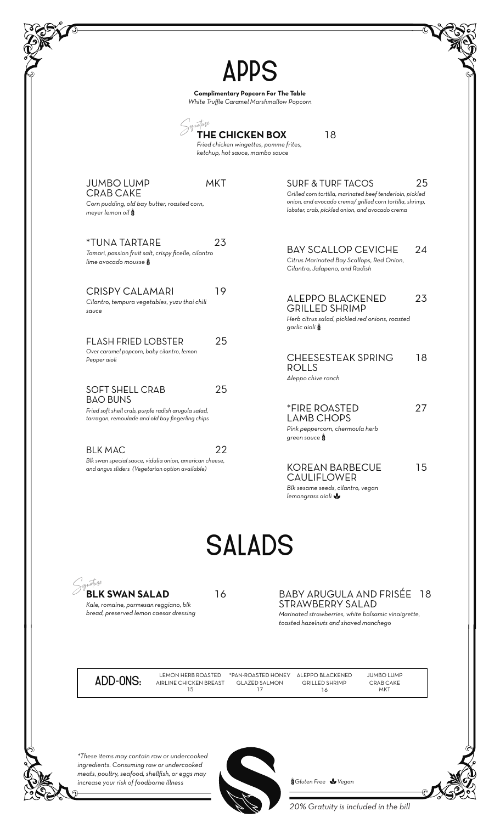|                                                                                                                                    | <b>APPS</b><br><b>Complimentary Popcorn For The Table</b><br>White Truffle Caramel Marshmallow Popcorn                      |
|------------------------------------------------------------------------------------------------------------------------------------|-----------------------------------------------------------------------------------------------------------------------------|
|                                                                                                                                    | <b>THE CHICKEN BOX</b><br>18<br>Fried chicken wingettes, pomme frites,<br>ketchup, hot sauce, mambo sauce                   |
| <b>MKT</b>                                                                                                                         | 25                                                                                                                          |
| <b>JUMBO LUMP</b>                                                                                                                  | <b>SURF &amp; TURF TACOS</b>                                                                                                |
| <b>CRAB CAKE</b>                                                                                                                   | Grilled corn tortilla, marinated beef tenderloin, pickled                                                                   |
| Corn pudding, old bay butter, roasted corn,                                                                                        | onion, and avocado crema/ grilled corn tortilla, shrimp,                                                                    |
| meyer lemon oil                                                                                                                    | lobster, crab, pickled onion, and avocado crema                                                                             |
| <i><b>*TUNA TARTARE</b></i>                                                                                                        | <b>BAY SCALLOP CEVICHE</b>                                                                                                  |
| 23                                                                                                                                 | 24                                                                                                                          |
| Tamari, passion fruit salt, crispy ficelle, cilantro                                                                               | Citrus Marinated Bay Scallops, Red Onion,                                                                                   |
| lime avocado mousse                                                                                                                | Cilantro, Jalapeno, and Radish                                                                                              |
| <b>CRISPY CALAMARI</b><br>19<br>Cilantro, tempura vegetables, yuzu thai chili<br>sauce                                             | <b>ALEPPO BLACKENED</b><br>23<br><b>GRILLED SHRIMP</b><br>Herb citrus salad, pickled red onions, roasted<br>garlic aioli \$ |
| 25                                                                                                                                 | <b>CHEESESTEAK SPRING</b>                                                                                                   |
| <b>FLASH FRIED LOBSTER</b>                                                                                                         | 18                                                                                                                          |
| Over caramel popcorn, baby cilantro, lemon                                                                                         | <b>ROLLS</b>                                                                                                                |
| Pepper aioli                                                                                                                       | Aleppo chive ranch                                                                                                          |
| 25                                                                                                                                 | 27                                                                                                                          |
| <b>SOFT SHELL CRAB</b>                                                                                                             | <i><b>*FIRE ROASTED</b></i>                                                                                                 |
| <b>BAO BUNS</b>                                                                                                                    | <b>LAMB CHOPS</b>                                                                                                           |
| Fried soft shell crab, purple radish arugula salad,                                                                                | Pink peppercorn, chermoula herb                                                                                             |
| tarragon, remoulade and old bay fingerling chips                                                                                   | green sauce                                                                                                                 |
| <b>BLK MAC</b><br>22<br>Blk swan special sauce, vidalia onion, american cheese,<br>and angus sliders (Vegetarian option available) | 15<br><b>KOREAN BARBECUE</b><br><b>CAULIFLOWER</b><br>Blk sesame seeds, cilantro, vegan<br>lemongrass aioli                 |
|                                                                                                                                    | <b>SALADS</b>                                                                                                               |
| ignature                                                                                                                           | <b>BABY ARUGULA AND FRISÉE</b>                                                                                              |
| <b>BLK SWAN SALAD</b>                                                                                                              | <b>18</b>                                                                                                                   |
| 16                                                                                                                                 | STRAWBERRY SALAD                                                                                                            |
| Kale, romaine, parmesan reggiano, blk                                                                                              | Marinated strawberries, white balsamic vinaigrette,                                                                         |
| bread, preserved lemon caesar dressing                                                                                             | toasted hazelnuts and shaved manchego                                                                                       |

*\*These items may contain raw or undercooked ingredients. Consuming raw or undercooked meats, poultry, seafood, shellfish, or eggs may increase your risk of foodborne illness*



6*Gluten Free* 7*Vegan*

*20% Gratuity is included in the bill*